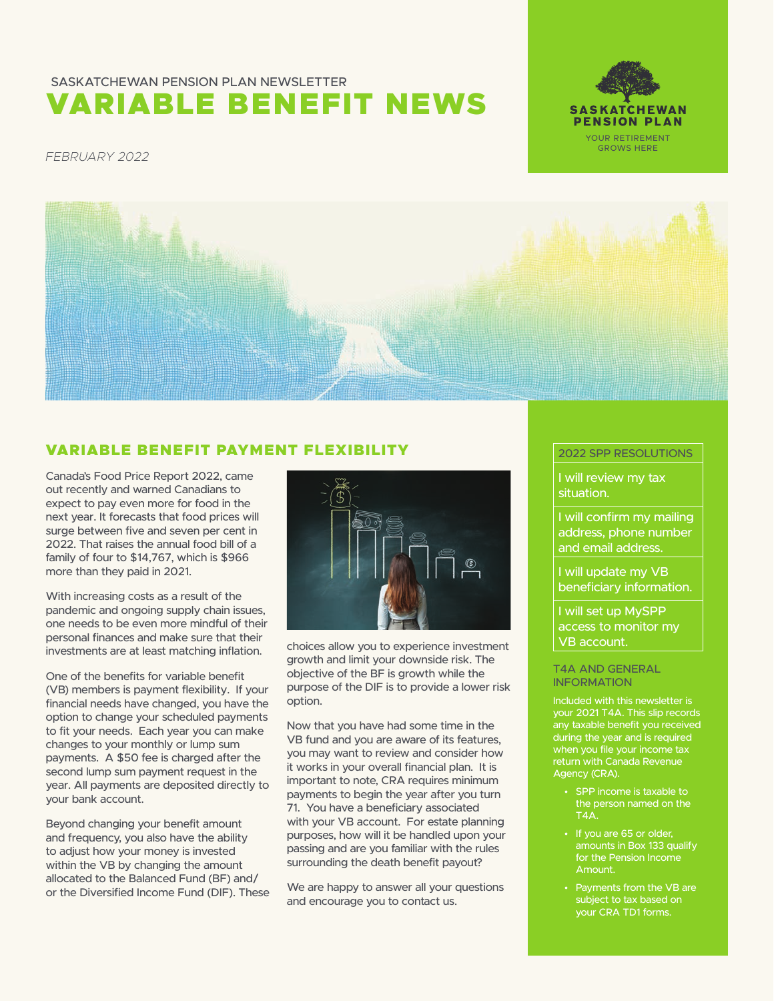# VARIABLE BENEFIT NEWS SASKATCHEWAN PENSION PLAN NEWSLETTER



*FEBRUARY 2022*



# VARIABLE BENEFIT PAYMENT FLEXIBILITY

Canada's Food Price Report 2022, came out recently and warned Canadians to expect to pay even more for food in the next year. It forecasts that food prices will surge between five and seven per cent in 2022. That raises the annual food bill of a family of four to \$14,767, which is \$966 more than they paid in 2021.

With increasing costs as a result of the pandemic and ongoing supply chain issues, one needs to be even more mindful of their personal finances and make sure that their investments are at least matching inflation.

One of the benefits for variable benefit (VB) members is payment flexibility. If your financial needs have changed, you have the option to change your scheduled payments to fit your needs. Each year you can make changes to your monthly or lump sum payments. A \$50 fee is charged after the second lump sum payment request in the year. All payments are deposited directly to your bank account.

Beyond changing your benefit amount and frequency, you also have the ability to adjust how your money is invested within the VB by changing the amount allocated to the Balanced Fund (BF) and/ or the Diversified Income Fund (DIF). These



choices allow you to experience investment growth and limit your downside risk. The objective of the BF is growth while the purpose of the DIF is to provide a lower risk option.

Now that you have had some time in the VB fund and you are aware of its features, you may want to review and consider how it works in your overall financial plan. It is important to note, CRA requires minimum payments to begin the year after you turn 71. You have a beneficiary associated with your VB account. For estate planning purposes, how will it be handled upon your passing and are you familiar with the rules surrounding the death benefit payout?

We are happy to answer all your questions and encourage you to contact us.

#### 2022 SPP RESOLUTIONS

I will review my tax situation.

I will confirm my mailing address, phone number and email address.

I will update my VB beneficiary information.

I will set up MySPP access to monitor my VB account.

#### T4A AND GENERAL INFORMATION

Included with this newsletter is your 2021 T4A. This slip records any taxable benefit you received during the year and is required return with Canada Revenue Agency (CRA).

- SPP income is taxable to the person named on the  $TA\Delta$
- If you are 65 or older, amounts in Box 133 qualify for the Pension Income Amount.
- Payments from the VB are subject to tax based on your CRA TD1 forms.